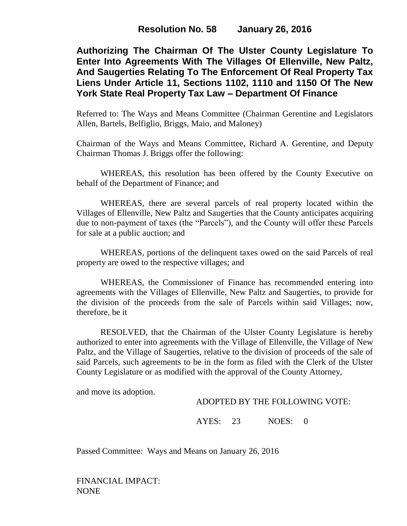**Authorizing The Chairman Of The Ulster County Legislature To Enter Into Agreements With The Villages Of Ellenville, New Paltz, And Saugerties Relating To The Enforcement Of Real Property Tax Liens Under Article 11, Sections 1102, 1110 and 1150 Of The New York State Real Property Tax Law – Department Of Finance**

Referred to: The Ways and Means Committee (Chairman Gerentine and Legislators Allen, Bartels, Belfiglio, Briggs, Maio, and Maloney)

Chairman of the Ways and Means Committee, Richard A. Gerentine, and Deputy Chairman Thomas J. Briggs offer the following:

WHEREAS, this resolution has been offered by the County Executive on behalf of the Department of Finance; and

WHEREAS, there are several parcels of real property located within the Villages of Ellenville, New Paltz and Saugerties that the County anticipates acquiring due to non-payment of taxes (the "Parcels"), and the County will offer these Parcels for sale at a public auction; and

WHEREAS, portions of the delinquent taxes owed on the said Parcels of real property are owed to the respective villages; and

WHEREAS, the Commissioner of Finance has recommended entering into agreements with the Villages of Ellenville, New Paltz and Saugerties, to provide for the division of the proceeds from the sale of Parcels within said Villages; now, therefore, be it

RESOLVED, that the Chairman of the Ulster County Legislature is hereby authorized to enter into agreements with the Village of Ellenville, the Village of New Paltz, and the Village of Saugerties, relative to the division of proceeds of the sale of said Parcels, such agreements to be in the form as filed with the Clerk of the Ulster County Legislature or as modified with the approval of the County Attorney,

and move its adoption.

## ADOPTED BY THE FOLLOWING VOTE:

AYES: 23 NOES: 0

Passed Committee: Ways and Means on January 26, 2016

FINANCIAL IMPACT: NONE